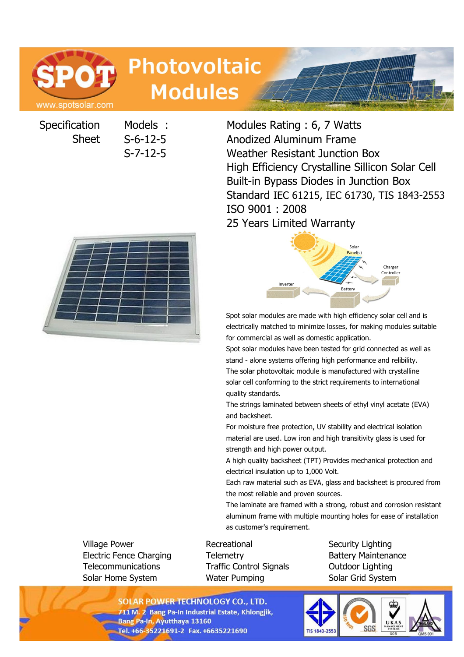

# **Photovoltaic Modules**

**Specification** Sheet

Models : Modules Rating : 6, 7 Watts S-6-12-5 Anodized Aluminum Frame S-7-12-5 Weather Resistant Junction Box High Efficiency Crystalline Sillicon Solar Cell Built-in Bypass Diodes in Junction Box Standard IEC 61215, IEC 61730, TIS 1843-2553 ISO 9001 : 2008 25 Years Limited Warranty





Spot solar modules are made with high efficiency solar cell and is electrically matched to minimize losses, for making modules suitable for commercial as well as domestic application.

Spot solar modules have been tested for grid connected as well as stand - alone systems offering high performance and relibility. The solar photovoltaic module is manufactured with crystalline solar cell conforming to the strict requirements to international quality standards.

The strings laminated between sheets of ethyl vinyl acetate (EVA) and backsheet.

For moisture free protection, UV stability and electrical isolation material are used. Low iron and high transitivity glass is used for strength and high power output.

A high quality backsheet (TPT) Provides mechanical protection and electrical insulation up to 1,000 Volt.

Each raw material such as EVA, glass and backsheet is procured from the most reliable and proven sources.

The laminate are framed with a strong, robust and corrosion resistant aluminum frame with multiple mounting holes for ease of installation as customer's requirement.

Village Power **Recreational** Security Lighting Electric Fence Charging Telemetry Battery Maintenance Telecommunications Traffic Control Signals Outdoor Lighting Solar Home System **Water Pumping Solar Grid System** 

**SOLAR POWER TECHNOLOGY CO., LTD.** 711 M. 2 Bang Pa-In Industrial Estate, Khlongjik, **Bang Pa-In, Ayutthaya 13160** Tel. +66-35221691-2 Fax. +6635221690